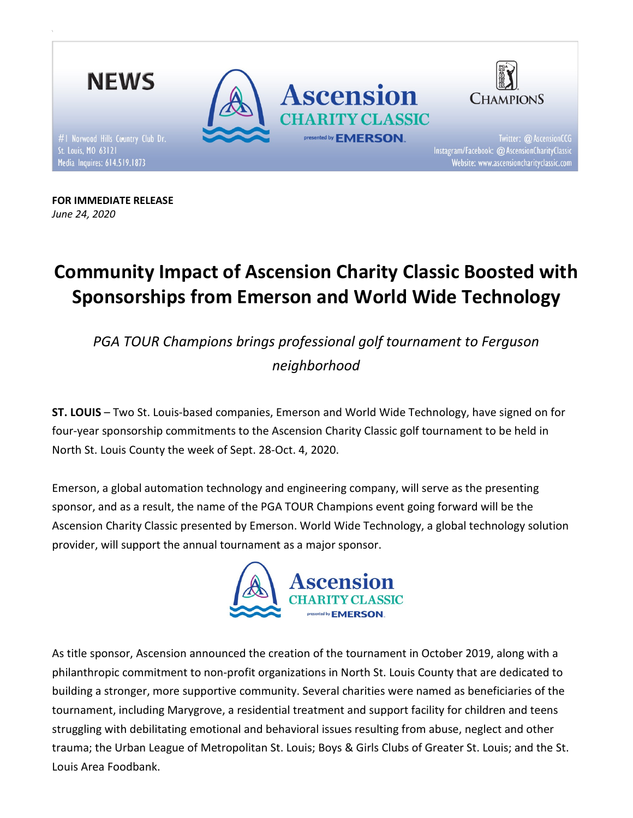

FOR IMMEDIATE RELEASE June 24, 2020

# Community Impact of Ascension Charity Classic Boosted with Sponsorships from Emerson and World Wide Technology

PGA TOUR Champions brings professional golf tournament to Ferguson neighborhood

ST. LOUIS – Two St. Louis-based companies, Emerson and World Wide Technology, have signed on for four-year sponsorship commitments to the Ascension Charity Classic golf tournament to be held in North St. Louis County the week of Sept. 28-Oct. 4, 2020.

Emerson, a global automation technology and engineering company, will serve as the presenting sponsor, and as a result, the name of the PGA TOUR Champions event going forward will be the Ascension Charity Classic presented by Emerson. World Wide Technology, a global technology solution provider, will support the annual tournament as a major sponsor.



As title sponsor, Ascension announced the creation of the tournament in October 2019, along with a philanthropic commitment to non-profit organizations in North St. Louis County that are dedicated to building a stronger, more supportive community. Several charities were named as beneficiaries of the tournament, including Marygrove, a residential treatment and support facility for children and teens struggling with debilitating emotional and behavioral issues resulting from abuse, neglect and other trauma; the Urban League of Metropolitan St. Louis; Boys & Girls Clubs of Greater St. Louis; and the St. Louis Area Foodbank.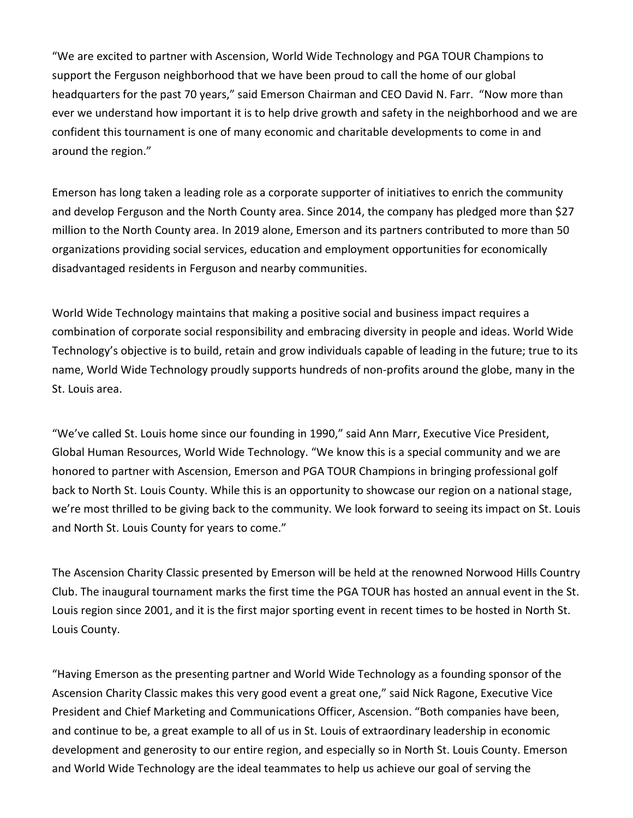"We are excited to partner with Ascension, World Wide Technology and PGA TOUR Champions to support the Ferguson neighborhood that we have been proud to call the home of our global headquarters for the past 70 years," said Emerson Chairman and CEO David N. Farr. "Now more than ever we understand how important it is to help drive growth and safety in the neighborhood and we are confident this tournament is one of many economic and charitable developments to come in and around the region."

Emerson has long taken a leading role as a corporate supporter of initiatives to enrich the community and develop Ferguson and the North County area. Since 2014, the company has pledged more than \$27 million to the North County area. In 2019 alone, Emerson and its partners contributed to more than 50 organizations providing social services, education and employment opportunities for economically disadvantaged residents in Ferguson and nearby communities.

World Wide Technology maintains that making a positive social and business impact requires a combination of corporate social responsibility and embracing diversity in people and ideas. World Wide Technology's objective is to build, retain and grow individuals capable of leading in the future; true to its name, World Wide Technology proudly supports hundreds of non-profits around the globe, many in the St. Louis area.

"We've called St. Louis home since our founding in 1990," said Ann Marr, Executive Vice President, Global Human Resources, World Wide Technology. "We know this is a special community and we are honored to partner with Ascension, Emerson and PGA TOUR Champions in bringing professional golf back to North St. Louis County. While this is an opportunity to showcase our region on a national stage, we're most thrilled to be giving back to the community. We look forward to seeing its impact on St. Louis and North St. Louis County for years to come."

The Ascension Charity Classic presented by Emerson will be held at the renowned Norwood Hills Country Club. The inaugural tournament marks the first time the PGA TOUR has hosted an annual event in the St. Louis region since 2001, and it is the first major sporting event in recent times to be hosted in North St. Louis County.

"Having Emerson as the presenting partner and World Wide Technology as a founding sponsor of the Ascension Charity Classic makes this very good event a great one," said Nick Ragone, Executive Vice President and Chief Marketing and Communications Officer, Ascension. "Both companies have been, and continue to be, a great example to all of us in St. Louis of extraordinary leadership in economic development and generosity to our entire region, and especially so in North St. Louis County. Emerson and World Wide Technology are the ideal teammates to help us achieve our goal of serving the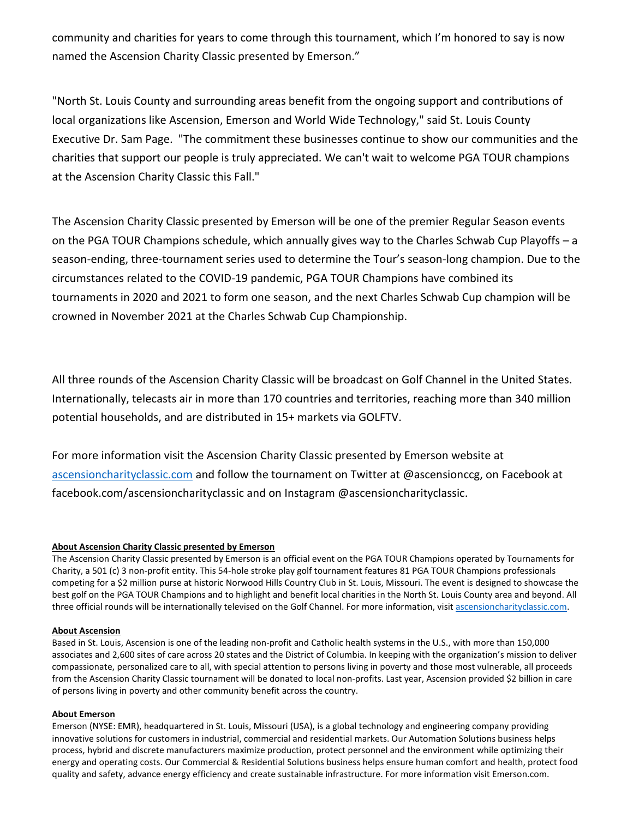community and charities for years to come through this tournament, which I'm honored to say is now named the Ascension Charity Classic presented by Emerson."

"North St. Louis County and surrounding areas benefit from the ongoing support and contributions of local organizations like Ascension, Emerson and World Wide Technology," said St. Louis County Executive Dr. Sam Page. "The commitment these businesses continue to show our communities and the charities that support our people is truly appreciated. We can't wait to welcome PGA TOUR champions at the Ascension Charity Classic this Fall."

The Ascension Charity Classic presented by Emerson will be one of the premier Regular Season events on the PGA TOUR Champions schedule, which annually gives way to the Charles Schwab Cup Playoffs – a season-ending, three-tournament series used to determine the Tour's season-long champion. Due to the circumstances related to the COVID-19 pandemic, PGA TOUR Champions have combined its tournaments in 2020 and 2021 to form one season, and the next Charles Schwab Cup champion will be crowned in November 2021 at the Charles Schwab Cup Championship.

All three rounds of the Ascension Charity Classic will be broadcast on Golf Channel in the United States. Internationally, telecasts air in more than 170 countries and territories, reaching more than 340 million potential households, and are distributed in 15+ markets via GOLFTV.

For more information visit the Ascension Charity Classic presented by Emerson website at ascensioncharityclassic.com and follow the tournament on Twitter at @ascensionccg, on Facebook at facebook.com/ascensioncharityclassic and on Instagram @ascensioncharityclassic.

# About Ascension Charity Classic presented by Emerson

The Ascension Charity Classic presented by Emerson is an official event on the PGA TOUR Champions operated by Tournaments for Charity, a 501 (c) 3 non-profit entity. This 54-hole stroke play golf tournament features 81 PGA TOUR Champions professionals competing for a \$2 million purse at historic Norwood Hills Country Club in St. Louis, Missouri. The event is designed to showcase the best golf on the PGA TOUR Champions and to highlight and benefit local charities in the North St. Louis County area and beyond. All three official rounds will be internationally televised on the Golf Channel. For more information, visit ascensioncharityclassic.com.

#### About Ascension

Based in St. Louis, Ascension is one of the leading non-profit and Catholic health systems in the U.S., with more than 150,000 associates and 2,600 sites of care across 20 states and the District of Columbia. In keeping with the organization's mission to deliver compassionate, personalized care to all, with special attention to persons living in poverty and those most vulnerable, all proceeds from the Ascension Charity Classic tournament will be donated to local non-profits. Last year, Ascension provided \$2 billion in care of persons living in poverty and other community benefit across the country.

#### About Emerson

Emerson (NYSE: EMR), headquartered in St. Louis, Missouri (USA), is a global technology and engineering company providing innovative solutions for customers in industrial, commercial and residential markets. Our Automation Solutions business helps process, hybrid and discrete manufacturers maximize production, protect personnel and the environment while optimizing their energy and operating costs. Our Commercial & Residential Solutions business helps ensure human comfort and health, protect food quality and safety, advance energy efficiency and create sustainable infrastructure. For more information visit Emerson.com.